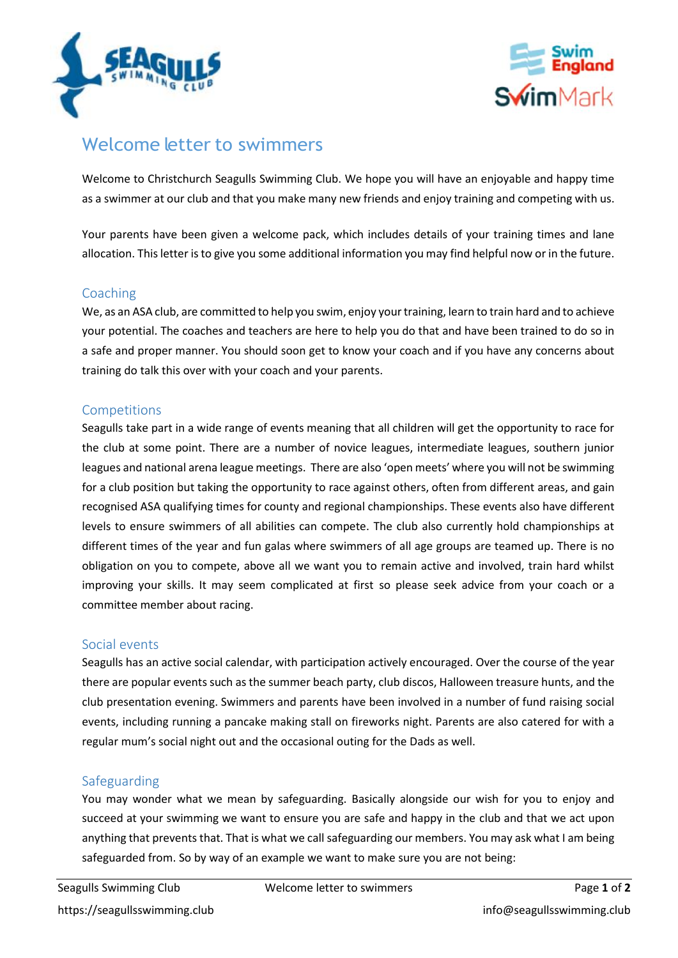



# Welcome letter to swimmers

Welcome to Christchurch Seagulls Swimming Club. We hope you will have an enjoyable and happy time as a swimmer at our club and that you make many new friends and enjoy training and competing with us.

Your parents have been given a welcome pack, which includes details of your training times and lane allocation. This letter is to give you some additional information you may find helpful now or in the future.

## Coaching

We, as an ASA club, are committed to help you swim, enjoy your training, learn to train hard and to achieve your potential. The coaches and teachers are here to help you do that and have been trained to do so in a safe and proper manner. You should soon get to know your coach and if you have any concerns about training do talk this over with your coach and your parents.

## Competitions

Seagulls take part in a wide range of events meaning that all children will get the opportunity to race for the club at some point. There are a number of novice leagues, intermediate leagues, southern junior leagues and national arena league meetings. There are also 'open meets' where you will not be swimming for a club position but taking the opportunity to race against others, often from different areas, and gain recognised ASA qualifying times for county and regional championships. These events also have different levels to ensure swimmers of all abilities can compete. The club also currently hold championships at different times of the year and fun galas where swimmers of all age groups are teamed up. There is no obligation on you to compete, above all we want you to remain active and involved, train hard whilst improving your skills. It may seem complicated at first so please seek advice from your coach or a committee member about racing.

## Social events

Seagulls has an active social calendar, with participation actively encouraged. Over the course of the year there are popular events such as the summer beach party, club discos, Halloween treasure hunts, and the club presentation evening. Swimmers and parents have been involved in a number of fund raising social events, including running a pancake making stall on fireworks night. Parents are also catered for with a regular mum's social night out and the occasional outing for the Dads as well.

## Safeguarding

You may wonder what we mean by safeguarding. Basically alongside our wish for you to enjoy and succeed at your swimming we want to ensure you are safe and happy in the club and that we act upon anything that prevents that. That is what we call safeguarding our members. You may ask what I am being safeguarded from. So by way of an example we want to make sure you are not being: